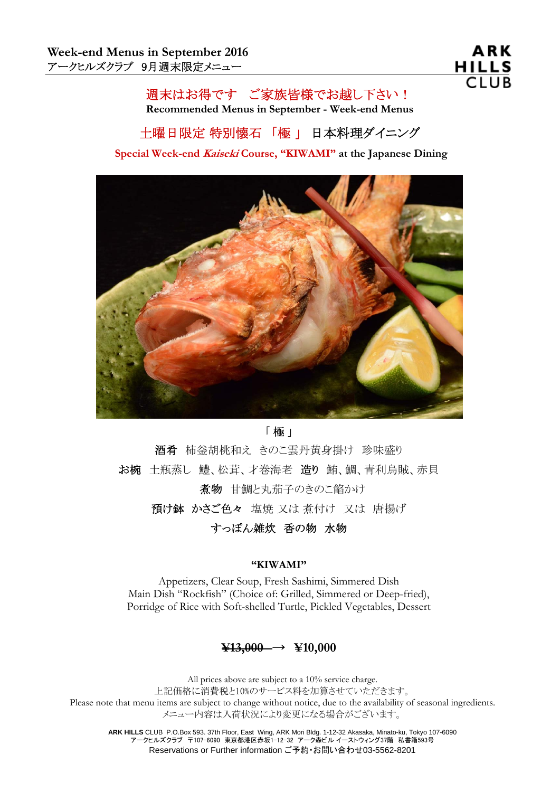## 週末はお得です ご家族皆様でお越し下さい!

**Recommended Menus in September - Week-end Menus** 

# 土曜日限定 特別懐石 「極 」 日本料理ダイニング

**Special Week-end Kaiseki Course, "KIWAMI" at the Japanese Dining**



#### 「 極 」

酒肴 柿釡胡桃和え きのこ雲丹黄身掛け 珍味盛り お椀 土瓶蒸し 鱧、松茸、才巻海老 造り 鮪、鯛、青利烏賊、赤貝 煮物 甘鯛と丸茄子のきのこ餡かけ 預け鉢 かさご色々 塩焼 又は 煮付け 又は 唐揚げ

すっぽん雑炊 香の物 水物

#### **"KIWAMI"**

Appetizers, Clear Soup, Fresh Sashimi, Simmered Dish Main Dish "Rockfish" (Choice of: Grilled, Simmered or Deep-fried), Porridge of Rice with Soft-shelled Turtle, Pickled Vegetables, Dessert

### **¥13,000** → **¥10,000**

All prices above are subject to a 10% service charge. 上記価格に消費税と10%のサービス料を加算させていただきます。 Please note that menu items are subject to change without notice, due to the availability of seasonal ingredients. メニュー内容は入荷状況により変更になる場合がございます。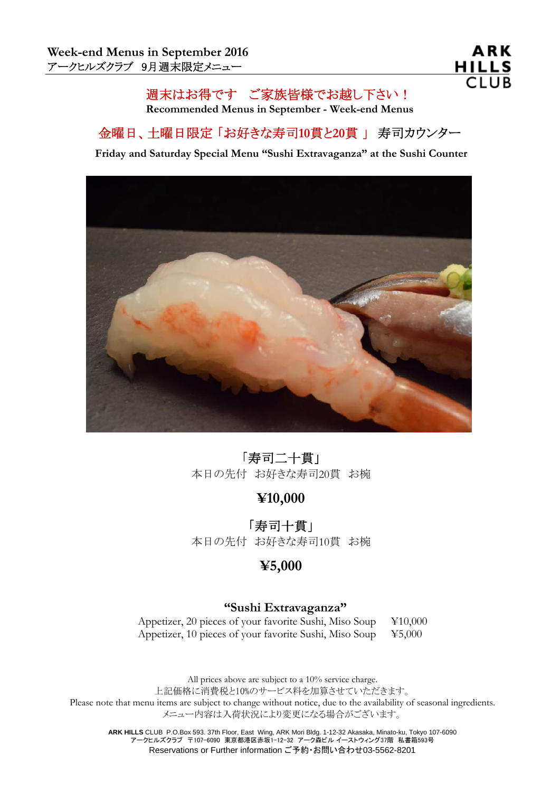## 週末はお得です ご家族皆様でお越し下さい!

**Recommended Menus in September - Week-end Menus** 

## 金曜日、土曜日限定 「お好きな寿司**10**貫と**20**貫 」 寿司カウンター

**Friday and Saturday Special Menu "Sushi Extravaganza" at the Sushi Counter**



## 「寿司二十貫」

本日の先付 お好きな寿司20貫 お椀

**¥10,000** 

「寿司十貫」 本日の先付 お好きな寿司10貫 お椀

### **¥5,000**

### **"Sushi Extravaganza"**

Appetizer, 20 pieces of your favorite Sushi, Miso Soup ¥10,000 Appetizer, 10 pieces of your favorite Sushi, Miso Soup  $\text{\yen}5,000$ 

All prices above are subject to a 10% service charge. 上記価格に消費税と10%のサービス料を加算させていただきます。 Please note that menu items are subject to change without notice, due to the availability of seasonal ingredients. メニュー内容は入荷状況により変更になる場合がございます。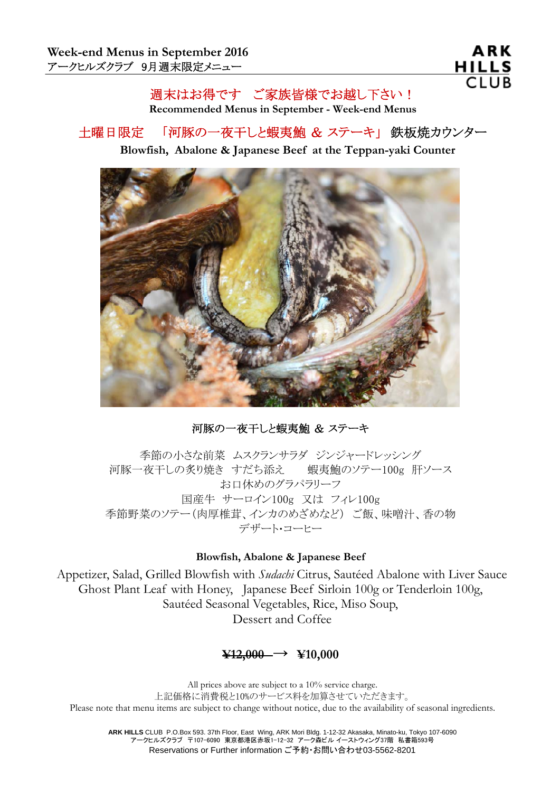ARK **HILLS CLUB** 

### 週末はお得です ご家族皆様でお越し下さい!

**Recommended Menus in September - Week-end Menus** 

## 土曜日限定 「河豚の一夜干しと蝦夷鮑 & ステーキ」 鉄板焼カウンター

### **Blowfish, Abalone & Japanese Beef at the Teppan-yaki Counter**



河豚の一夜干しと蝦夷鮑 & ステーキ

季節の小さな前菜 ムスクランサラダ ジンジャードレッシング 河豚一夜干しの炙り焼き すだち添え 蝦夷鮑のソテー100g 肝ソース お口休めのグラパラリーフ 国産牛 サーロイン100g 又は フィレ100g 季節野菜のソテー(肉厚椎茸、インカのめざめなど) ご飯、味噌汁、香の物 デザート・コーヒー

#### **Blowfish, Abalone & Japanese Beef**

Appetizer, Salad, Grilled Blowfish with *Sudachi* Citrus, Sautéed Abalone with Liver Sauce Ghost Plant Leaf with Honey, Japanese Beef Sirloin 100g or Tenderloin 100g, Sautéed Seasonal Vegetables, Rice, Miso Soup, Dessert and Coffee

### **¥12,000** → **¥10,000**

All prices above are subject to a 10% service charge. 上記価格に消費税と10%のサービス料を加算させていただきます。 Please note that menu items are subject to change without notice, due to the availability of seasonal ingredients.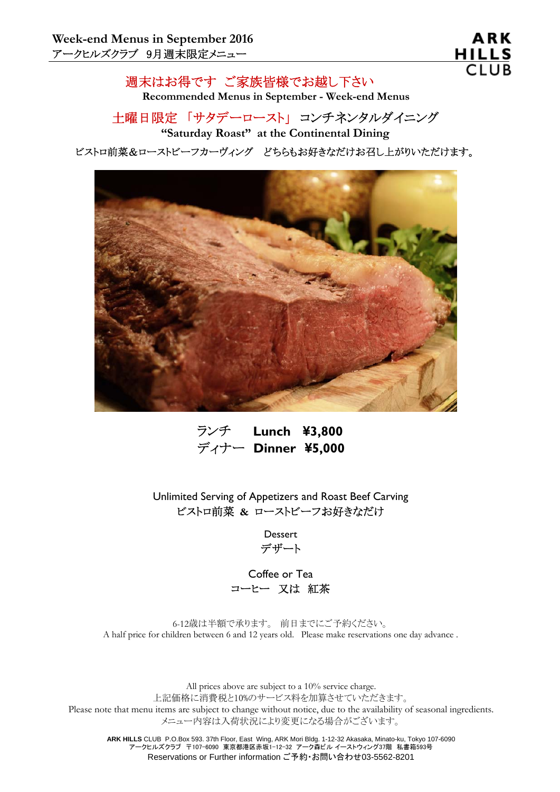週末はお得です ご家族皆様でお越し下さい **Recommended Menus in September - Week-end Menus** 

土曜日限定 「サタデーロースト」 コンチネンタルダイニング **"Saturday Roast" at the Continental Dining**

ビストロ前菜&ローストビーフカーヴィング どちらもお好きなだけお召し上がりいただけます。



 ランチ **Lunch ¥3,800** ディナー **Dinner ¥5,000**

Unlimited Serving of Appetizers and Roast Beef Carving ビストロ前菜 **&** ローストビーフお好きなだけ

> Dessert デザート

Coffee or Tea コーヒー 又は 紅茶

6-12歳は半額で承ります。 前日までにご予約ください。 A half price for children between 6 and 12 years old. Please make reservations one day advance .

All prices above are subject to a 10% service charge. 上記価格に消費税と10%のサービス料を加算させていただきます。 Please note that menu items are subject to change without notice, due to the availability of seasonal ingredients. メニュー内容は入荷状況により変更になる場合がございます。